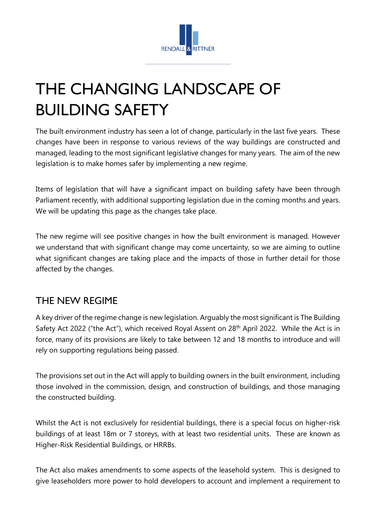

# THE CHANGING LANDSCAPE OF BUILDING SAFETY

The built environment industry has seen a lot of change, particularly in the last five years. These changes have been in response to various reviews of the way buildings are constructed and managed, leading to the most significant legislative changes for many years. The aim of the new legislation is to make homes safer by implementing a new regime.

Items of legislation that will have a significant impact on building safety have been through Parliament recently, with additional supporting legislation due in the coming months and years. We will be updating this page as the changes take place.

The new regime will see positive changes in how the built environment is managed. However we understand that with significant change may come uncertainty, so we are aiming to outline what significant changes are taking place and the impacts of those in further detail for those affected by the changes.

## THE NEW REGIME

A key driver of the regime change is new legislation. Arguably the most significant is The Building Safety Act 2022 ("the Act"), which received Royal Assent on 28<sup>th</sup> April 2022. While the Act is in force, many of its provisions are likely to take between 12 and 18 months to introduce and will rely on supporting regulations being passed.

The provisions set out in the Act will apply to building owners in the built environment, including those involved in the commission, design, and construction of buildings, and those managing the constructed building.

Whilst the Act is not exclusively for residential buildings, there is a special focus on higher-risk buildings of at least 18m or 7 storeys, with at least two residential units. These are known as Higher-Risk Residential Buildings, or HRRBs.

The Act also makes amendments to some aspects of the leasehold system. This is designed to give leaseholders more power to hold developers to account and implement a requirement to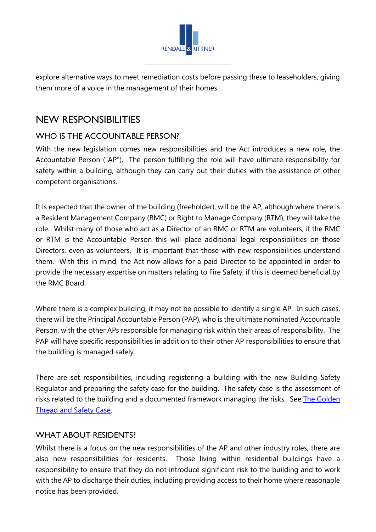

explore alternative ways to meet remediation costs before passing these to leaseholders, giving them more of a voice in the management of their homes.

## NEW RESPONSIBILITIES

### WHO IS THE ACCOUNTABLE PERSON?

With the new legislation comes new responsibilities and the Act introduces a new role, the Accountable Person ("AP"). The person fulfilling the role will have ultimate responsibility for safety within a building, although they can carry out their duties with the assistance of other competent organisations.

It is expected that the owner of the building (freeholder), will be the AP, although where there is a Resident Management Company (RMC) or Right to Manage Company (RTM), they will take the role. Whilst many of those who act as a Director of an RMC or RTM are volunteers, if the RMC or RTM is the Accountable Person this will place additional legal responsibilities on those Directors, even as volunteers. It is important that those with new responsibilities understand them. With this in mind, the Act now allows for a paid Director to be appointed in order to provide the necessary expertise on matters relating to Fire Safety, if this is deemed beneficial by the RMC Board.

Where there is a complex building, it may not be possible to identify a single AP. In such cases, there will be the Principal Accountable Person (PAP), who is the ultimate nominated Accountable Person, with the other APs responsible for managing risk within their areas of responsibility. The PAP will have specific responsibilities in addition to their other AP responsibilities to ensure that the building is managed safely.

There are set responsibilities, including registering a building with the new Building Safety Regulator and preparing the safety case for the building. The safety case is the assessment of risks related to the building and a documented framework managing the risks. See [The Golden](#page-2-0)  [Thread and Safety Case.](#page-2-0) 

#### WHAT ABOUT RESIDENTS?

Whilst there is a focus on the new responsibilities of the AP and other industry roles, there are also new responsibilities for residents. Those living within residential buildings have a responsibility to ensure that they do not introduce significant risk to the building and to work with the AP to discharge their duties, including providing access to their home where reasonable notice has been provided.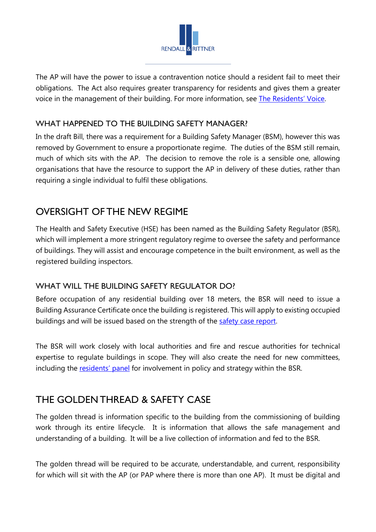

The AP will have the power to issue a contravention notice should a resident fail to meet their obligations. The Act also requires greater transparency for residents and gives them a greater voice in the management of their building. For more information, see [The Residents' Voice.](#page-4-0)

### WHAT HAPPENED TO THE BUILDING SAFETY MANAGER?

In the draft Bill, there was a requirement for a Building Safety Manager (BSM), however this was removed by Government to ensure a proportionate regime. The duties of the BSM still remain, much of which sits with the AP. The decision to remove the role is a sensible one, allowing organisations that have the resource to support the AP in delivery of these duties, rather than requiring a single individual to fulfil these obligations.

## OVERSIGHT OF THE NEW REGIME

The Health and Safety Executive (HSE) has been named as the Building Safety Regulator (BSR), which will implement a more stringent regulatory regime to oversee the safety and performance of buildings. They will assist and encourage competence in the built environment, as well as the registered building inspectors.

### WHAT WILL THE BUILDING SAFETY REGULATOR DO?

Before occupation of any residential building over 18 meters, the BSR will need to issue a Building Assurance Certificate once the building is registered. This will apply to existing occupied buildings and will be issued based on the strength of the [safety case report.](#page-2-0)

The BSR will work closely with local authorities and fire and rescue authorities for technical expertise to regulate buildings in scope. They will also create the need for new committees, including the [residents' panel](#page-4-0) for involvement in policy and strategy within the BSR.

## <span id="page-2-0"></span>THE GOLDEN THREAD & SAFETY CASE

The golden thread is information specific to the building from the commissioning of building work through its entire lifecycle. It is information that allows the safe management and understanding of a building. It will be a live collection of information and fed to the BSR.

The golden thread will be required to be accurate, understandable, and current, responsibility for which will sit with the AP (or PAP where there is more than one AP). It must be digital and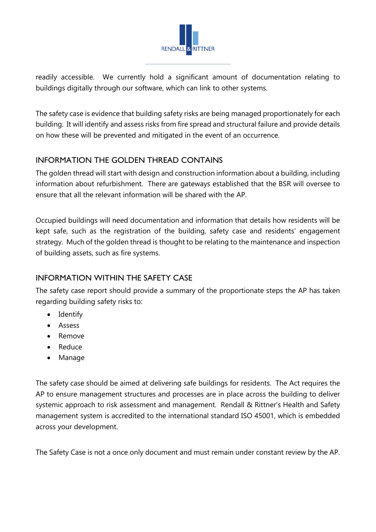

readily accessible. We currently hold a significant amount of documentation relating to buildings digitally through our software, which can link to other systems.

The safety case is evidence that building safety risks are being managed proportionately for each building. It will identify and assess risks from fire spread and structural failure and provide details on how these will be prevented and mitigated in the event of an occurrence.

### INFORMATION THE GOLDEN THREAD CONTAINS

The golden thread will start with design and construction information about a building, including information about refurbishment. There are gateways established that the BSR will oversee to ensure that all the relevant information will be shared with the AP.

Occupied buildings will need documentation and information that details how residents will be kept safe, such as the registration of the building, safety case and residents' engagement strategy. Much of the golden thread is thought to be relating to the maintenance and inspection of building assets, such as fire systems.

### INFORMATION WITHIN THE SAFETY CASE

The safety case report should provide a summary of the proportionate steps the AP has taken regarding building safety risks to:

- Identify
- Assess
- Remove
- Reduce
- Manage

The safety case should be aimed at delivering safe buildings for residents. The Act requires the AP to ensure management structures and processes are in place across the building to deliver systemic approach to risk assessment and management. Rendall & Rittner's Health and Safety management system is accredited to the international standard ISO 45001, which is embedded across your development.

The Safety Case is not a once only document and must remain under constant review by the AP.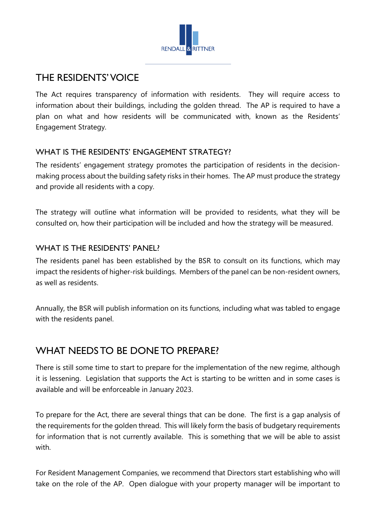

## <span id="page-4-0"></span>THE RESIDENTS' VOICE

The Act requires transparency of information with residents. They will require access to information about their buildings, including the golden thread. The AP is required to have a plan on what and how residents will be communicated with, known as the Residents' Engagement Strategy.

## WHAT IS THE RESIDENTS' ENGAGEMENT STRATEGY?

The residents' engagement strategy promotes the participation of residents in the decisionmaking process about the building safety risks in their homes. The AP must produce the strategy and provide all residents with a copy.

The strategy will outline what information will be provided to residents, what they will be consulted on, how their participation will be included and how the strategy will be measured.

### WHAT IS THE RESIDENTS' PANEL?

The residents panel has been established by the BSR to consult on its functions, which may impact the residents of higher-risk buildings. Members of the panel can be non-resident owners, as well as residents.

Annually, the BSR will publish information on its functions, including what was tabled to engage with the residents panel.

## WHAT NEEDS TO BE DONE TO PREPARE?

There is still some time to start to prepare for the implementation of the new regime, although it is lessening. Legislation that supports the Act is starting to be written and in some cases is available and will be enforceable in January 2023.

To prepare for the Act, there are several things that can be done. The first is a gap analysis of the requirements for the golden thread. This will likely form the basis of budgetary requirements for information that is not currently available. This is something that we will be able to assist with.

For Resident Management Companies, we recommend that Directors start establishing who will take on the role of the AP. Open dialogue with your property manager will be important to